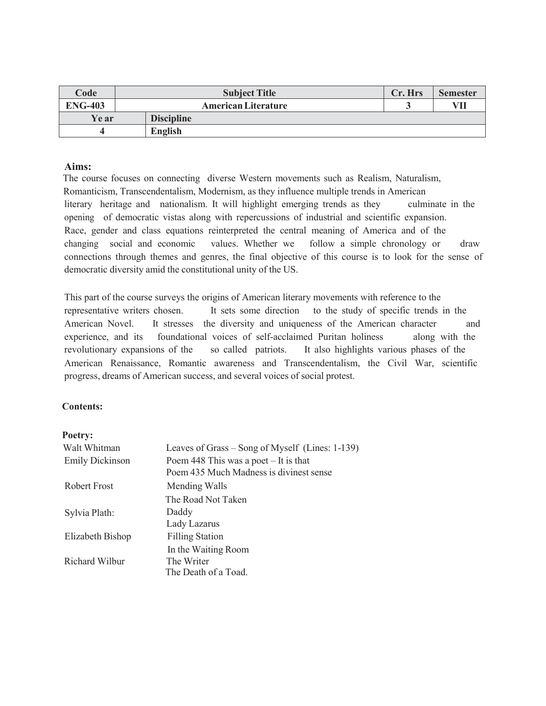| Code           | <b>Subject Title</b>       | Cr. Hrs | <b>Semester</b> |
|----------------|----------------------------|---------|-----------------|
| <b>ENG-403</b> | <b>American Literature</b> |         | VII             |
| Ye ar          | <b>Discipline</b>          |         |                 |
|                | <b>English</b>             |         |                 |

## **Aims:**

The course focuses on connecting diverse Western movements such as Realism, Naturalism, Romanticism, Transcendentalism, Modernism, as they influence multiple trends in American literary heritage and nationalism. It will highlight emerging trends as they culminate in the opening of democratic vistas along with repercussions of industrial and scientific expansion. Race, gender and class equations reinterpreted the central meaning of America and of the changing social and economic values. Whether we follow a simple chronology or draw connections through themes and genres, the final objective of this course is to look for the sense of democratic diversity amid the constitutional unity of the US.

This part of the course surveys the origins of American literary movements with reference to the representative writers chosen. It sets some direction to the study of specific trends in the American Novel. It stresses the diversity and uniqueness of the American character and experience, and its foundational voices of self-acclaimed Puritan holiness along with the revolutionary expansions of the so called patriots. It also highlights various phases of the American Renaissance, Romantic awareness and Transcendentalism, the Civil War, scientific progress, dreams of American success, and several voices of social protest.

### **Contents:**

### **Poetry:**

| Walt Whitman           | Leaves of Grass – Song of Myself (Lines: 1-139) |  |
|------------------------|-------------------------------------------------|--|
| <b>Emily Dickinson</b> | Poem 448 This was a poet $-$ It is that         |  |
|                        | Poem 435 Much Madness is divinest sense         |  |
| Robert Frost           | Mending Walls                                   |  |
|                        | The Road Not Taken                              |  |
| Sylvia Plath:          | Daddy                                           |  |
|                        | Lady Lazarus                                    |  |
| Elizabeth Bishop       | <b>Filling Station</b>                          |  |
|                        | In the Waiting Room                             |  |
| Richard Wilbur         | The Writer                                      |  |
|                        | The Death of a Toad.                            |  |